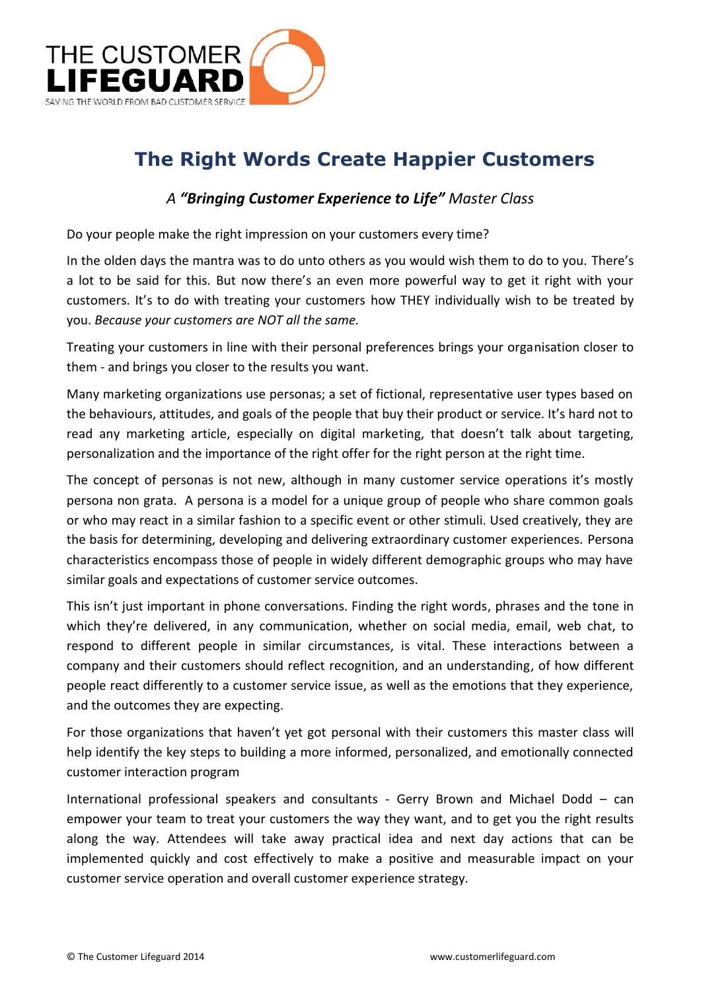

# **The Right Words Create Happier Customers**

#### *A "Bringing Customer Experience to Life" Master Class*

Do your people make the right impression on your customers every time?

In the olden days the mantra was to do unto others as you would wish them to do to you. There's a lot to be said for this. But now there's an even more powerful way to get it right with your customers. It's to do with treating your customers how THEY individually wish to be treated by you. *Because your customers are NOT all the same.*

Treating your customers in line with their personal preferences brings your organisation closer to them - and brings you closer to the results you want.

Many marketing organizations use personas; a set of fictional, representative user types based on the behaviours, attitudes, and goals of the people that buy their product or service. It's hard not to read any marketing article, especially on digital marketing, that doesn't talk about targeting, personalization and the importance of the right offer for the right person at the right time.

The concept of personas is not new, although in many customer service operations it's mostly persona non grata. A persona is a model for a unique group of people who share common goals or who may react in a similar fashion to a specific event or other stimuli. Used creatively, they are the basis for determining, developing and delivering extraordinary customer experiences. Persona characteristics encompass those of people in widely different demographic groups who may have similar goals and expectations of customer service outcomes.

This isn't just important in phone conversations. Finding the right words, phrases and the tone in which they're delivered, in any communication, whether on social media, email, web chat, to respond to different people in similar circumstances, is vital. These interactions between a company and their customers should reflect recognition, and an understanding, of how different people react differently to a customer service issue, as well as the emotions that they experience, and the outcomes they are expecting.

For those organizations that haven't yet got personal with their customers this master class will help identify the key steps to building a more informed, personalized, and emotionally connected customer interaction program

International professional speakers and consultants - Gerry Brown and Michael Dodd – can empower your team to treat your customers the way they want, and to get you the right results along the way. Attendees will take away practical idea and next day actions that can be implemented quickly and cost effectively to make a positive and measurable impact on your customer service operation and overall customer experience strategy.